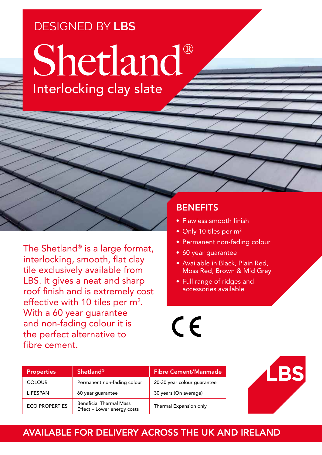## DESIGNED BY **LBS**

# Shetland® Interlocking clay slate

The Shetland® is a large format, interlocking, smooth, flat clay tile exclusively available from LBS. It gives a neat and sharp roof finish and is extremely cost effective with 10 tiles per  $m^2$ . With a 60 year guarantee and non-fading colour it is the perfect alternative to fibre cement.

### **BENEFITS**

- Flawless smooth finish
- Only 10 tiles per m<sup>2</sup>
- Permanent non-fading colour
- 60 year guarantee
- Available in Black, Plain Red, Moss Red, Brown & Mid Grey
- Full range of ridges and accessories available

 $C \in$ 

| <b>Properties</b>     | <b>Shetland®</b>                                              | <b>Fibre Cement/Manmade</b> |
|-----------------------|---------------------------------------------------------------|-----------------------------|
| <b>COLOUR</b>         | Permanent non-fading colour                                   | 20-30 year colour guarantee |
| <b>LIFESPAN</b>       | 60 year guarantee                                             | 30 years (On average)       |
| <b>ECO PROPERTIES</b> | <b>Beneficial Thermal Mass</b><br>Effect - Lower energy costs | Thermal Expansion only      |



#### AVAILABLE FOR DELIVERY ACROSS THE UK AND IRELAND